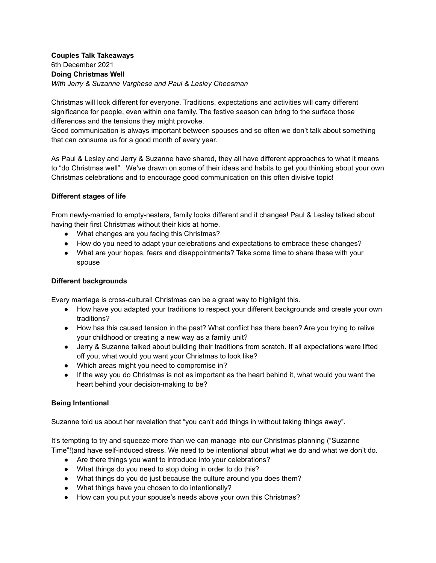**Couples Talk Takeaways** 6th December 2021 **Doing Christmas Well** *With Jerry & Suzanne Varghese and Paul & Lesley Cheesman*

Christmas will look different for everyone. Traditions, expectations and activities will carry different significance for people, even within one family. The festive season can bring to the surface those differences and the tensions they might provoke.

Good communication is always important between spouses and so often we don't talk about something that can consume us for a good month of every year.

As Paul & Lesley and Jerry & Suzanne have shared, they all have different approaches to what it means to "do Christmas well". We've drawn on some of their ideas and habits to get you thinking about your own Christmas celebrations and to encourage good communication on this often divisive topic!

## **Different stages of life**

From newly-married to empty-nesters, family looks different and it changes! Paul & Lesley talked about having their first Christmas without their kids at home.

- What changes are you facing this Christmas?
- How do you need to adapt your celebrations and expectations to embrace these changes?
- What are your hopes, fears and disappointments? Take some time to share these with your spouse

## **Different backgrounds**

Every marriage is cross-cultural! Christmas can be a great way to highlight this.

- How have you adapted your traditions to respect your different backgrounds and create your own traditions?
- How has this caused tension in the past? What conflict has there been? Are you trying to relive your childhood or creating a new way as a family unit?
- Jerry & Suzanne talked about building their traditions from scratch. If all expectations were lifted off you, what would you want your Christmas to look like?
- Which areas might you need to compromise in?
- If the way you do Christmas is not as important as the heart behind it, what would you want the heart behind your decision-making to be?

# **Being Intentional**

Suzanne told us about her revelation that "you can't add things in without taking things away".

It's tempting to try and squeeze more than we can manage into our Christmas planning ("Suzanne Time"!)and have self-induced stress. We need to be intentional about what we do and what we don't do.

- Are there things you want to introduce into your celebrations?
- What things do you need to stop doing in order to do this?
- What things do you do just because the culture around you does them?
- What things have you chosen to do intentionally?
- How can you put your spouse's needs above your own this Christmas?